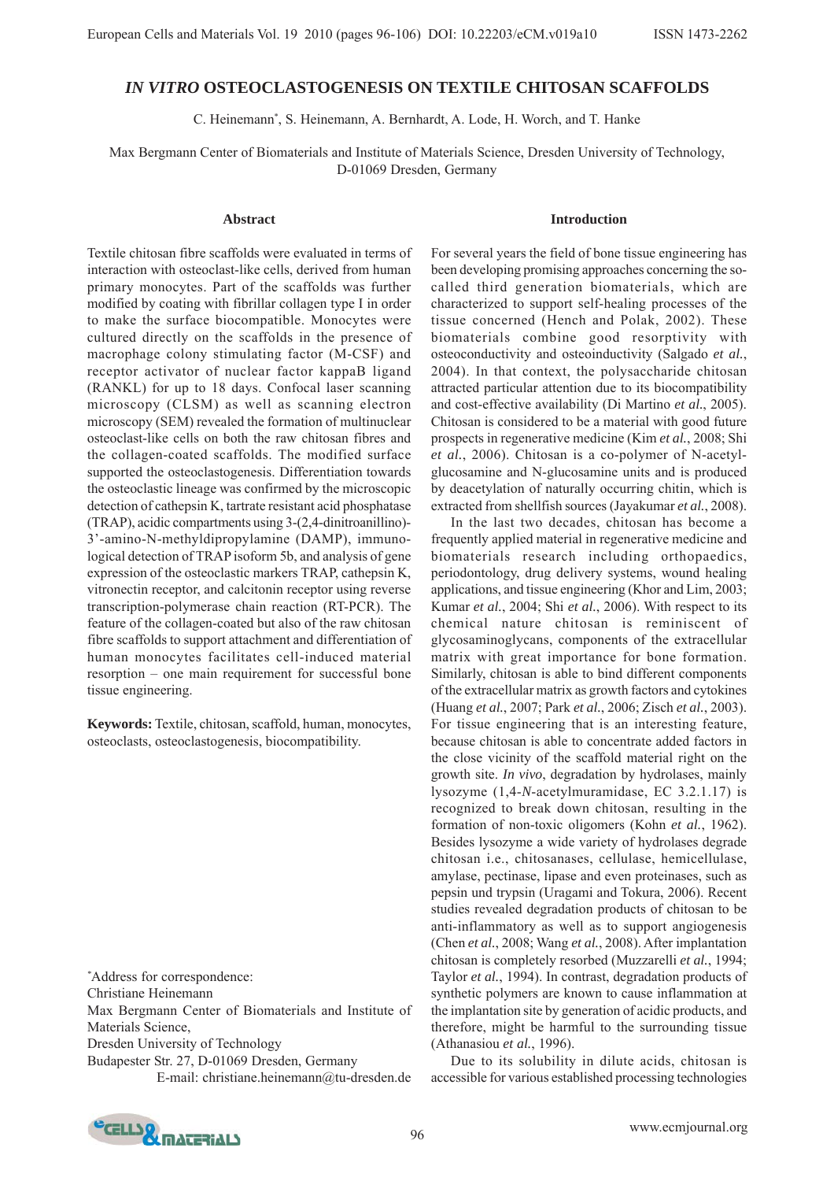# *IN VITRO* **OSTEOCLASTOGENESIS ON TEXTILE CHITOSAN SCAFFOLDS**

C. Heinemann\* , S. Heinemann, A. Bernhardt, A. Lode, H. Worch, and T. Hanke

Max Bergmann Center of Biomaterials and Institute of Materials Science, Dresden University of Technology, D-01069 Dresden, Germany

#### **Abstract**

Textile chitosan fibre scaffolds were evaluated in terms of interaction with osteoclast-like cells, derived from human primary monocytes. Part of the scaffolds was further modified by coating with fibrillar collagen type I in order to make the surface biocompatible. Monocytes were cultured directly on the scaffolds in the presence of macrophage colony stimulating factor (M-CSF) and receptor activator of nuclear factor kappaB ligand (RANKL) for up to 18 days. Confocal laser scanning microscopy (CLSM) as well as scanning electron microscopy (SEM) revealed the formation of multinuclear osteoclast-like cells on both the raw chitosan fibres and the collagen-coated scaffolds. The modified surface supported the osteoclastogenesis. Differentiation towards the osteoclastic lineage was confirmed by the microscopic detection of cathepsin K, tartrate resistant acid phosphatase (TRAP), acidic compartments using 3-(2,4-dinitroanillino)- 3'-amino-N-methyldipropylamine (DAMP), immunological detection of TRAP isoform 5b, and analysis of gene expression of the osteoclastic markers TRAP, cathepsin K, vitronectin receptor, and calcitonin receptor using reverse transcription-polymerase chain reaction (RT-PCR). The feature of the collagen-coated but also of the raw chitosan fibre scaffolds to support attachment and differentiation of human monocytes facilitates cell-induced material resorption – one main requirement for successful bone tissue engineering.

**Keywords:** Textile, chitosan, scaffold, human, monocytes, osteoclasts, osteoclastogenesis, biocompatibility.

*\** Address for correspondence:

Christiane Heinemann

Max Bergmann Center of Biomaterials and Institute of Materials Science,

Dresden University of Technology

Budapester Str. 27, D-01069 Dresden, Germany

E-mail: christiane.heinemann@tu-dresden.de

#### **Introduction**

For several years the field of bone tissue engineering has been developing promising approaches concerning the socalled third generation biomaterials, which are characterized to support self-healing processes of the tissue concerned (Hench and Polak, 2002). These biomaterials combine good resorptivity with osteoconductivity and osteoinductivity (Salgado *et al.*, 2004). In that context, the polysaccharide chitosan attracted particular attention due to its biocompatibility and cost-effective availability (Di Martino *et al.*, 2005). Chitosan is considered to be a material with good future prospects in regenerative medicine (Kim *et al.*, 2008; Shi *et al.*, 2006). Chitosan is a co-polymer of N-acetylglucosamine and N-glucosamine units and is produced by deacetylation of naturally occurring chitin, which is extracted from shellfish sources (Jayakumar *et al.*, 2008).

In the last two decades, chitosan has become a frequently applied material in regenerative medicine and biomaterials research including orthopaedics, periodontology, drug delivery systems, wound healing applications, and tissue engineering (Khor and Lim, 2003; Kumar *et al.*, 2004; Shi *et al.*, 2006). With respect to its chemical nature chitosan is reminiscent of glycosaminoglycans, components of the extracellular matrix with great importance for bone formation. Similarly, chitosan is able to bind different components of the extracellular matrix as growth factors and cytokines (Huang *et al.*, 2007; Park *et al.*, 2006; Zisch *et al.*, 2003). For tissue engineering that is an interesting feature, because chitosan is able to concentrate added factors in the close vicinity of the scaffold material right on the growth site. *In vivo*, degradation by hydrolases, mainly lysozyme (1,4-*N*-acetylmuramidase, EC 3.2.1.17) is recognized to break down chitosan, resulting in the formation of non-toxic oligomers (Kohn *et al.*, 1962). Besides lysozyme a wide variety of hydrolases degrade chitosan i.e., chitosanases, cellulase, hemicellulase, amylase, pectinase, lipase and even proteinases, such as pepsin und trypsin (Uragami and Tokura, 2006). Recent studies revealed degradation products of chitosan to be anti-inflammatory as well as to support angiogenesis (Chen *et al.*, 2008; Wang *et al.*, 2008). After implantation chitosan is completely resorbed (Muzzarelli *et al.*, 1994; Taylor *et al.*, 1994). In contrast, degradation products of synthetic polymers are known to cause inflammation at the implantation site by generation of acidic products, and therefore, might be harmful to the surrounding tissue (Athanasiou *et al.*, 1996).

Due to its solubility in dilute acids, chitosan is accessible for various established processing technologies

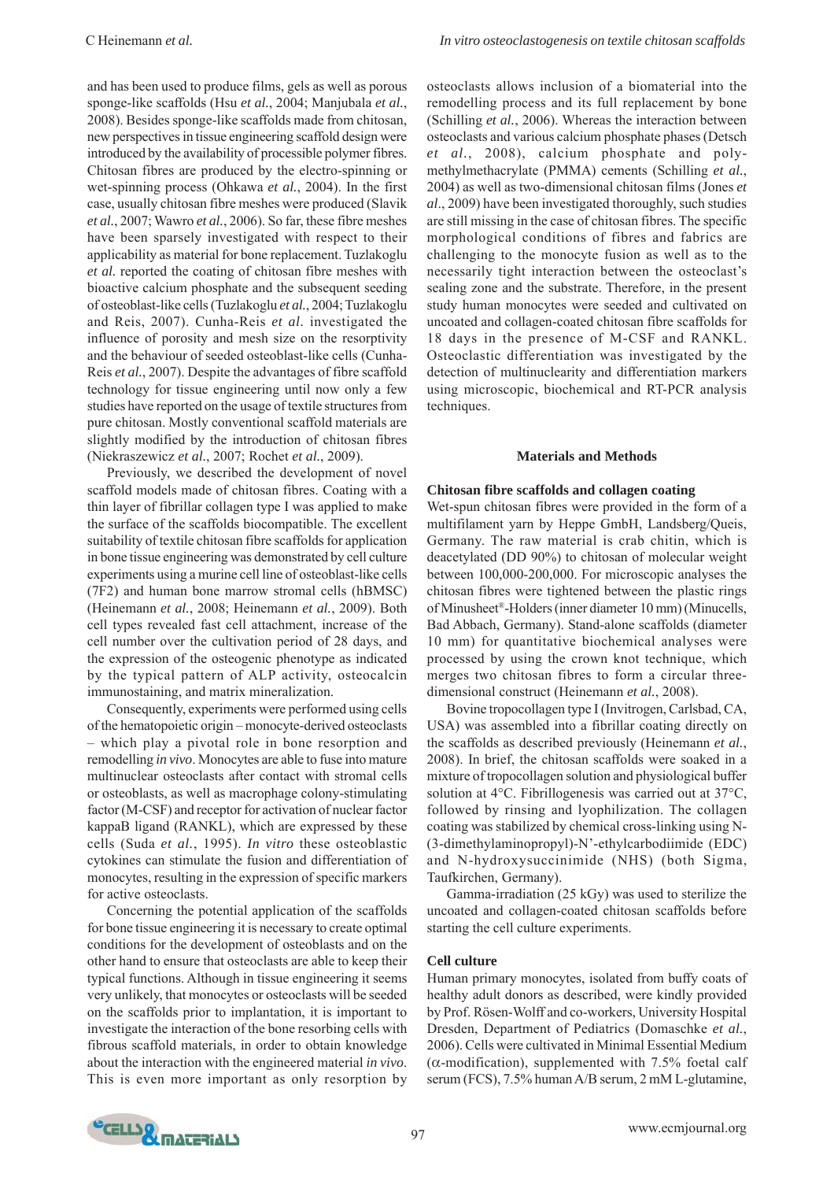and has been used to produce films, gels as well as porous sponge-like scaffolds (Hsu *et al.*, 2004; Manjubala *et al.*, 2008). Besides sponge-like scaffolds made from chitosan, new perspectives in tissue engineering scaffold design were introduced by the availability of processible polymer fibres. Chitosan fibres are produced by the electro-spinning or wet-spinning process (Ohkawa *et al.*, 2004). In the first case, usually chitosan fibre meshes were produced (Slavik *et al.*, 2007; Wawro *et al.*, 2006). So far, these fibre meshes have been sparsely investigated with respect to their applicability as material for bone replacement. Tuzlakoglu *et al.* reported the coating of chitosan fibre meshes with bioactive calcium phosphate and the subsequent seeding of osteoblast-like cells (Tuzlakoglu *et al.*, 2004; Tuzlakoglu and Reis, 2007). Cunha-Reis *et al.* investigated the influence of porosity and mesh size on the resorptivity and the behaviour of seeded osteoblast-like cells (Cunha-Reis *et al.*, 2007). Despite the advantages of fibre scaffold technology for tissue engineering until now only a few studies have reported on the usage of textile structures from pure chitosan. Mostly conventional scaffold materials are slightly modified by the introduction of chitosan fibres (Niekraszewicz *et al.*, 2007; Rochet *et al.*, 2009).

Previously, we described the development of novel scaffold models made of chitosan fibres. Coating with a thin layer of fibrillar collagen type I was applied to make the surface of the scaffolds biocompatible. The excellent suitability of textile chitosan fibre scaffolds for application in bone tissue engineering was demonstrated by cell culture experiments using a murine cell line of osteoblast-like cells (7F2) and human bone marrow stromal cells (hBMSC) (Heinemann *et al.*, 2008; Heinemann *et al.*, 2009). Both cell types revealed fast cell attachment, increase of the cell number over the cultivation period of 28 days, and the expression of the osteogenic phenotype as indicated by the typical pattern of ALP activity, osteocalcin immunostaining, and matrix mineralization.

Consequently, experiments were performed using cells of the hematopoietic origin – monocyte-derived osteoclasts – which play a pivotal role in bone resorption and remodelling *in vivo*. Monocytes are able to fuse into mature multinuclear osteoclasts after contact with stromal cells or osteoblasts, as well as macrophage colony-stimulating factor (M-CSF) and receptor for activation of nuclear factor kappaB ligand (RANKL), which are expressed by these cells (Suda *et al.*, 1995). *In vitro* these osteoblastic cytokines can stimulate the fusion and differentiation of monocytes, resulting in the expression of specific markers for active osteoclasts.

Concerning the potential application of the scaffolds for bone tissue engineering it is necessary to create optimal conditions for the development of osteoblasts and on the other hand to ensure that osteoclasts are able to keep their typical functions. Although in tissue engineering it seems very unlikely, that monocytes or osteoclasts will be seeded on the scaffolds prior to implantation, it is important to investigate the interaction of the bone resorbing cells with fibrous scaffold materials, in order to obtain knowledge about the interaction with the engineered material *in vivo*. This is even more important as only resorption by

osteoclasts allows inclusion of a biomaterial into the remodelling process and its full replacement by bone (Schilling *et al.*, 2006). Whereas the interaction between osteoclasts and various calcium phosphate phases (Detsch *et al.*, 2008), calcium phosphate and polymethylmethacrylate (PMMA) cements (Schilling *et al.*, 2004) as well as two-dimensional chitosan films (Jones *et al*., 2009) have been investigated thoroughly, such studies are still missing in the case of chitosan fibres. The specific morphological conditions of fibres and fabrics are challenging to the monocyte fusion as well as to the necessarily tight interaction between the osteoclast's sealing zone and the substrate. Therefore, in the present study human monocytes were seeded and cultivated on uncoated and collagen-coated chitosan fibre scaffolds for 18 days in the presence of M-CSF and RANKL. Osteoclastic differentiation was investigated by the detection of multinuclearity and differentiation markers using microscopic, biochemical and RT-PCR analysis techniques.

#### **Materials and Methods**

#### **Chitosan fibre scaffolds and collagen coating**

Wet-spun chitosan fibres were provided in the form of a multifilament yarn by Heppe GmbH, Landsberg/Queis, Germany. The raw material is crab chitin, which is deacetylated (DD 90%) to chitosan of molecular weight between 100,000-200,000. For microscopic analyses the chitosan fibres were tightened between the plastic rings of Minusheet®-Holders (inner diameter 10 mm) (Minucells, Bad Abbach, Germany). Stand-alone scaffolds (diameter 10 mm) for quantitative biochemical analyses were processed by using the crown knot technique, which merges two chitosan fibres to form a circular threedimensional construct (Heinemann *et al.*, 2008).

Bovine tropocollagen type I (Invitrogen, Carlsbad, CA, USA) was assembled into a fibrillar coating directly on the scaffolds as described previously (Heinemann *et al.*, 2008). In brief, the chitosan scaffolds were soaked in a mixture of tropocollagen solution and physiological buffer solution at 4°C. Fibrillogenesis was carried out at 37°C, followed by rinsing and lyophilization. The collagen coating was stabilized by chemical cross-linking using N- (3-dimethylaminopropyl)-N'-ethylcarbodiimide (EDC) and N-hydroxysuccinimide (NHS) (both Sigma, Taufkirchen, Germany).

Gamma-irradiation (25 kGy) was used to sterilize the uncoated and collagen-coated chitosan scaffolds before starting the cell culture experiments.

### **Cell culture**

Human primary monocytes, isolated from buffy coats of healthy adult donors as described, were kindly provided by Prof. Rösen-Wolff and co-workers, University Hospital Dresden, Department of Pediatrics (Domaschke *et al.*, 2006). Cells were cultivated in Minimal Essential Medium ( $\alpha$ -modification), supplemented with 7.5% foetal calf serum (FCS), 7.5% human A/B serum, 2 mM L-glutamine,

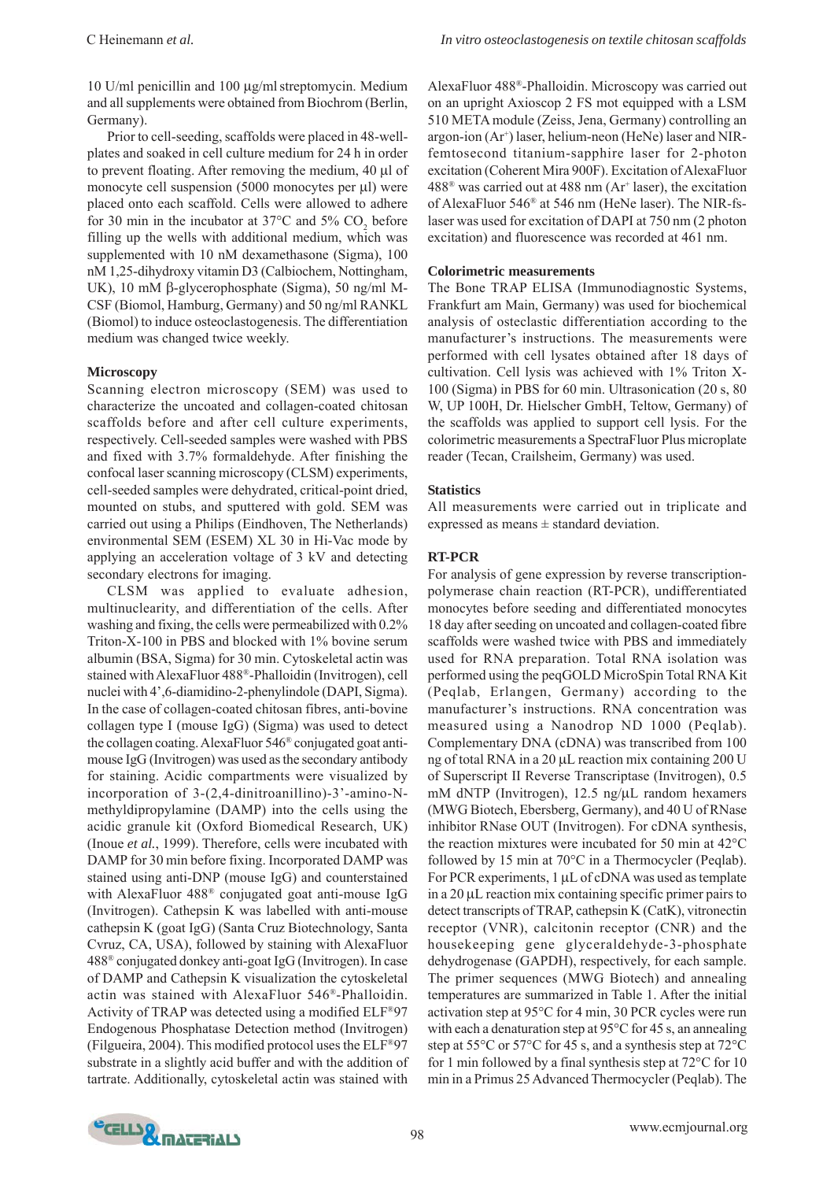10 U/ml penicillin and 100 μg/mlstreptomycin. Medium and all supplements were obtained from Biochrom (Berlin, Germany).

Prior to cell-seeding, scaffolds were placed in 48-wellplates and soaked in cell culture medium for 24 h in order to prevent floating. After removing the medium, 40 μl of monocyte cell suspension (5000 monocytes per μl) were placed onto each scaffold. Cells were allowed to adhere for 30 min in the incubator at  $37^{\circ}$ C and  $5\%$  CO<sub>2</sub> before filling up the wells with additional medium, which was supplemented with 10 nM dexamethasone (Sigma), 100 nM 1,25-dihydroxy vitamin D3 (Calbiochem, Nottingham, UK), 10 mM β-glycerophosphate (Sigma), 50 ng/ml M-CSF (Biomol, Hamburg, Germany) and 50 ng/ml RANKL (Biomol) to induce osteoclastogenesis. The differentiation medium was changed twice weekly.

### **Microscopy**

Scanning electron microscopy (SEM) was used to characterize the uncoated and collagen-coated chitosan scaffolds before and after cell culture experiments, respectively. Cell-seeded samples were washed with PBS and fixed with 3.7% formaldehyde. After finishing the confocal laser scanning microscopy (CLSM) experiments, cell-seeded samples were dehydrated, critical-point dried, mounted on stubs, and sputtered with gold. SEM was carried out using a Philips (Eindhoven, The Netherlands) environmental SEM (ESEM) XL 30 in Hi-Vac mode by applying an acceleration voltage of 3 kV and detecting secondary electrons for imaging.

CLSM was applied to evaluate adhesion, multinuclearity, and differentiation of the cells. After washing and fixing, the cells were permeabilized with 0.2% Triton-X-100 in PBS and blocked with 1% bovine serum albumin (BSA, Sigma) for 30 min. Cytoskeletal actin was stained with AlexaFluor 488®-Phalloidin (Invitrogen), cell nuclei with 4',6-diamidino-2-phenylindole (DAPI, Sigma). In the case of collagen-coated chitosan fibres, anti-bovine collagen type I (mouse IgG) (Sigma) was used to detect the collagen coating. AlexaFluor 546® conjugated goat antimouse IgG (Invitrogen) was used as the secondary antibody for staining. Acidic compartments were visualized by incorporation of 3-(2,4-dinitroanillino)-3'-amino-Nmethyldipropylamine (DAMP) into the cells using the acidic granule kit (Oxford Biomedical Research, UK) (Inoue *et al.*, 1999). Therefore, cells were incubated with DAMP for 30 min before fixing. Incorporated DAMP was stained using anti-DNP (mouse IgG) and counterstained with AlexaFluor 488® conjugated goat anti-mouse IgG (Invitrogen). Cathepsin K was labelled with anti-mouse cathepsin K (goat IgG) (Santa Cruz Biotechnology, Santa Cvruz, CA, USA), followed by staining with AlexaFluor 488® conjugated donkey anti-goat IgG (Invitrogen). In case of DAMP and Cathepsin K visualization the cytoskeletal actin was stained with AlexaFluor 546®-Phalloidin. Activity of TRAP was detected using a modified ELF®97 Endogenous Phosphatase Detection method (Invitrogen) (Filgueira, 2004). This modified protocol uses the ELF®97 substrate in a slightly acid buffer and with the addition of tartrate. Additionally, cytoskeletal actin was stained with

AlexaFluor 488®-Phalloidin. Microscopy was carried out on an upright Axioscop 2 FS mot equipped with a LSM 510 META module (Zeiss, Jena, Germany) controlling an argon-ion (Ar<sup>+</sup>) laser, helium-neon (HeNe) laser and NIRfemtosecond titanium-sapphire laser for 2-photon excitation (Coherent Mira 900F). Excitation of AlexaFluor  $488^{\circ}$  was carried out at  $488$  nm (Ar<sup>+</sup> laser), the excitation of AlexaFluor 546® at 546 nm (HeNe laser). The NIR-fslaser was used for excitation of DAPI at 750 nm (2 photon excitation) and fluorescence was recorded at 461 nm.

### **Colorimetric measurements**

The Bone TRAP ELISA (Immunodiagnostic Systems, Frankfurt am Main, Germany) was used for biochemical analysis of osteclastic differentiation according to the manufacturer's instructions. The measurements were performed with cell lysates obtained after 18 days of cultivation. Cell lysis was achieved with 1% Triton X-100 (Sigma) in PBS for 60 min. Ultrasonication (20 s, 80 W, UP 100H, Dr. Hielscher GmbH, Teltow, Germany) of the scaffolds was applied to support cell lysis. For the colorimetric measurements a SpectraFluor Plus microplate reader (Tecan, Crailsheim, Germany) was used.

### **Statistics**

All measurements were carried out in triplicate and expressed as means  $\pm$  standard deviation.

### **RT-PCR**

For analysis of gene expression by reverse transcriptionpolymerase chain reaction (RT-PCR), undifferentiated monocytes before seeding and differentiated monocytes 18 day after seeding on uncoated and collagen-coated fibre scaffolds were washed twice with PBS and immediately used for RNA preparation. Total RNA isolation was performed using the peqGOLD MicroSpin Total RNA Kit (Peqlab, Erlangen, Germany) according to the manufacturer's instructions. RNA concentration was measured using a Nanodrop ND 1000 (Peqlab). Complementary DNA (cDNA) was transcribed from 100 ng of total RNA in a 20 μL reaction mix containing 200 U of Superscript II Reverse Transcriptase (Invitrogen), 0.5 mM dNTP (Invitrogen), 12.5 ng/μL random hexamers (MWG Biotech, Ebersberg, Germany), and 40 U of RNase inhibitor RNase OUT (Invitrogen). For cDNA synthesis, the reaction mixtures were incubated for 50 min at 42°C followed by 15 min at 70°C in a Thermocycler (Peqlab). For PCR experiments, 1 μL of cDNA was used as template in a 20 μL reaction mix containing specific primer pairs to detect transcripts of TRAP, cathepsin K (CatK), vitronectin receptor (VNR), calcitonin receptor (CNR) and the housekeeping gene glyceraldehyde-3-phosphate dehydrogenase (GAPDH), respectively, for each sample. The primer sequences (MWG Biotech) and annealing temperatures are summarized in Table 1. After the initial activation step at 95°C for 4 min, 30 PCR cycles were run with each a denaturation step at 95°C for 45 s, an annealing step at 55°C or 57°C for 45 s, and a synthesis step at 72°C for 1 min followed by a final synthesis step at 72°C for 10 min in a Primus 25 Advanced Thermocycler (Peqlab). The

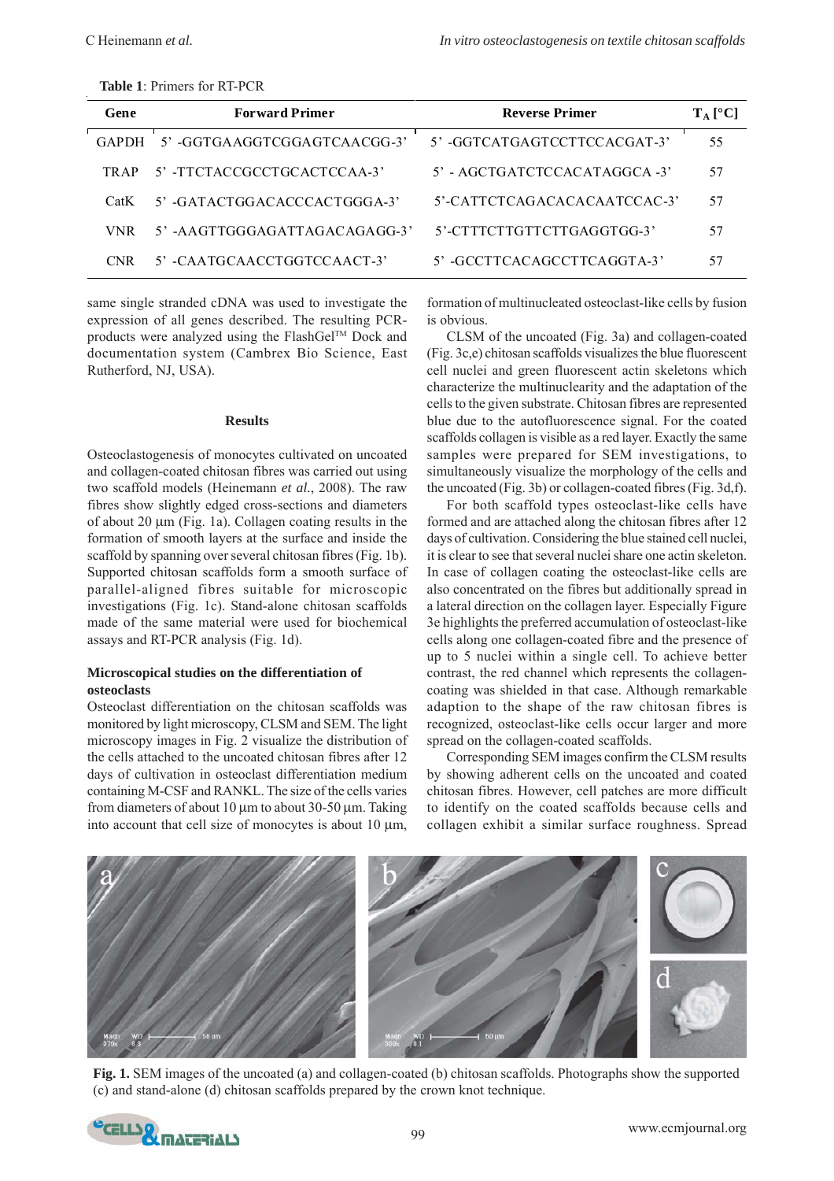| Gene  | <b>Forward Primer</b>           | <b>Reverse Primer</b>             | $T_A$ [°C] |
|-------|---------------------------------|-----------------------------------|------------|
| GAPDH | 5' -GGTGAAGGTCGGAGTCAACGG-3'    | 5' -GGTCATGAGTCCTTCCACGAT-3'      | 55         |
| TR AP | 5' -TTCTACCGCCTGCACTCCAA-3'     | $5'$ - AGCTGATCTCCACATAGGCA $-3'$ | 57         |
| CatK  | 5' -GATACTGGACACCCACTGGGA-3'    | 5'-CATTCTCAGACACACAATCCAC-3'      | 57         |
| VNR.  | $5'$ -AAGTTGGGAGATTAGACAGAGG-3' | 5'-CTTTCTTGTTCTTGAGGTGG-3'        | 57         |
| CNR   | 5' -CAATGCAACCTGGTCCAACT-3'     | 5' -GCCTTCACAGCCTTCAGGTA-3'       | 57         |

same single stranded cDNA was used to investigate the expression of all genes described. The resulting PCRproducts were analyzed using the FlashGel™ Dock and documentation system (Cambrex Bio Science, East Rutherford, NJ, USA).

#### **Results**

Osteoclastogenesis of monocytes cultivated on uncoated and collagen-coated chitosan fibres was carried out using two scaffold models (Heinemann *et al.*, 2008). The raw fibres show slightly edged cross-sections and diameters of about 20 μm (Fig. 1a). Collagen coating results in the formation of smooth layers at the surface and inside the scaffold by spanning over several chitosan fibres (Fig. 1b). Supported chitosan scaffolds form a smooth surface of parallel-aligned fibres suitable for microscopic investigations (Fig. 1c). Stand-alone chitosan scaffolds made of the same material were used for biochemical assays and RT-PCR analysis (Fig. 1d).

### **Microscopical studies on the differentiation of osteoclasts**

Osteoclast differentiation on the chitosan scaffolds was monitored by light microscopy, CLSM and SEM. The light microscopy images in Fig. 2 visualize the distribution of the cells attached to the uncoated chitosan fibres after 12 days of cultivation in osteoclast differentiation medium containing M-CSF and RANKL. The size of the cells varies from diameters of about 10 μm to about 30-50 μm. Taking into account that cell size of monocytes is about 10 μm,

formation of multinucleated osteoclast-like cells by fusion is obvious.

CLSM of the uncoated (Fig. 3a) and collagen-coated (Fig. 3c,e) chitosan scaffolds visualizes the blue fluorescent cell nuclei and green fluorescent actin skeletons which characterize the multinuclearity and the adaptation of the cells to the given substrate. Chitosan fibres are represented blue due to the autofluorescence signal. For the coated scaffolds collagen is visible as a red layer. Exactly the same samples were prepared for SEM investigations, to simultaneously visualize the morphology of the cells and the uncoated (Fig. 3b) or collagen-coated fibres (Fig. 3d,f).

For both scaffold types osteoclast-like cells have formed and are attached along the chitosan fibres after 12 days of cultivation. Considering the blue stained cell nuclei, it is clear to see that several nuclei share one actin skeleton. In case of collagen coating the osteoclast-like cells are also concentrated on the fibres but additionally spread in a lateral direction on the collagen layer. Especially Figure 3e highlights the preferred accumulation of osteoclast-like cells along one collagen-coated fibre and the presence of up to 5 nuclei within a single cell. To achieve better contrast, the red channel which represents the collagencoating was shielded in that case. Although remarkable adaption to the shape of the raw chitosan fibres is recognized, osteoclast-like cells occur larger and more spread on the collagen-coated scaffolds.

Corresponding SEM images confirm the CLSM results by showing adherent cells on the uncoated and coated chitosan fibres. However, cell patches are more difficult to identify on the coated scaffolds because cells and collagen exhibit a similar surface roughness. Spread



**Fig. 1.** SEM images of the uncoated (a) and collagen-coated (b) chitosan scaffolds. Photographs show the supported (c) and stand-alone (d) chitosan scaffolds prepared by the crown knot technique.

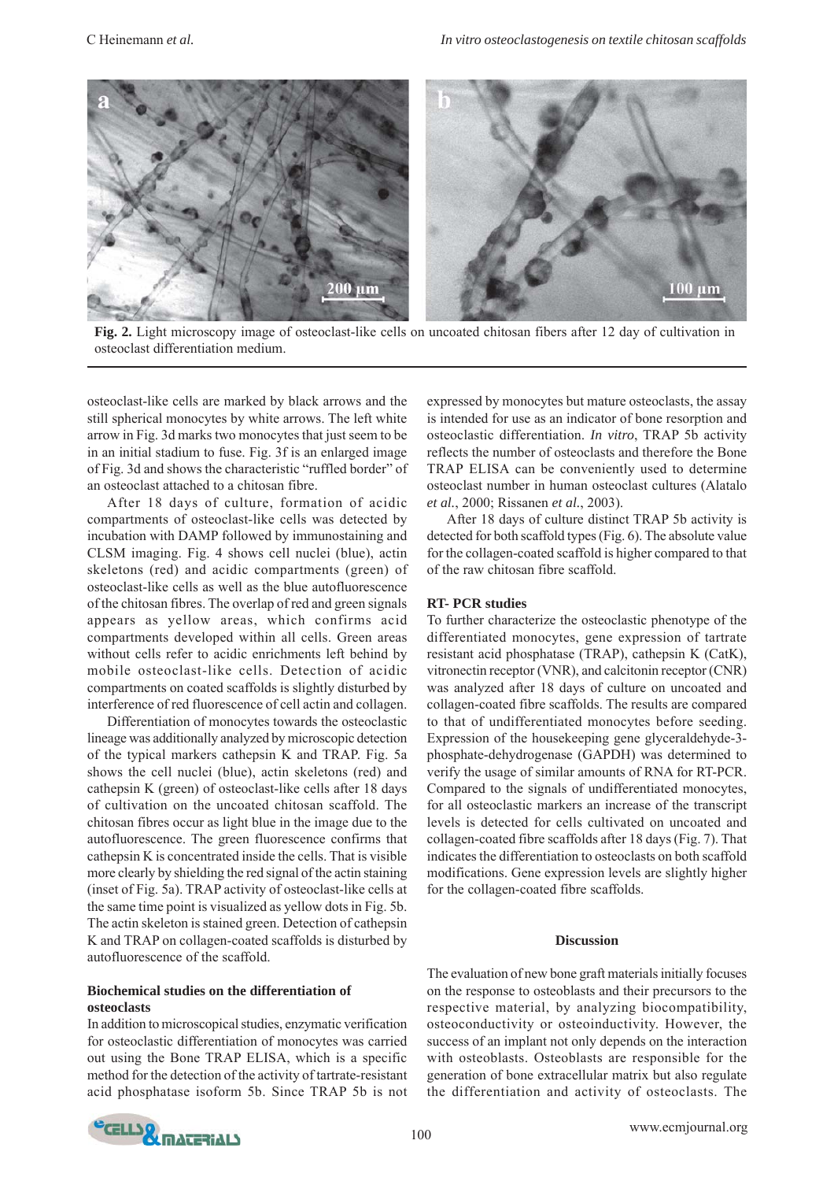

**Fig. 2.** Light microscopy image of osteoclast-like cells on uncoated chitosan fibers after 12 day of cultivation in osteoclast differentiation medium.

osteoclast-like cells are marked by black arrows and the still spherical monocytes by white arrows. The left white arrow in Fig. 3d marks two monocytes that just seem to be in an initial stadium to fuse. Fig. 3f is an enlarged image of Fig. 3d and shows the characteristic "ruffled border" of an osteoclast attached to a chitosan fibre.

After 18 days of culture, formation of acidic compartments of osteoclast-like cells was detected by incubation with DAMP followed by immunostaining and CLSM imaging. Fig. 4 shows cell nuclei (blue), actin skeletons (red) and acidic compartments (green) of osteoclast-like cells as well as the blue autofluorescence of the chitosan fibres. The overlap of red and green signals appears as yellow areas, which confirms acid compartments developed within all cells. Green areas without cells refer to acidic enrichments left behind by mobile osteoclast-like cells. Detection of acidic compartments on coated scaffolds is slightly disturbed by interference of red fluorescence of cell actin and collagen.

Differentiation of monocytes towards the osteoclastic lineage was additionally analyzed by microscopic detection of the typical markers cathepsin K and TRAP. Fig. 5a shows the cell nuclei (blue), actin skeletons (red) and cathepsin K (green) of osteoclast-like cells after 18 days of cultivation on the uncoated chitosan scaffold. The chitosan fibres occur as light blue in the image due to the autofluorescence. The green fluorescence confirms that cathepsin K is concentrated inside the cells. That is visible more clearly by shielding the red signal of the actin staining (inset of Fig. 5a). TRAP activity of osteoclast-like cells at the same time point is visualized as yellow dots in Fig. 5b. The actin skeleton is stained green. Detection of cathepsin K and TRAP on collagen-coated scaffolds is disturbed by autofluorescence of the scaffold.

## **Biochemical studies on the differentiation of osteoclasts**

In addition to microscopical studies, enzymatic verification for osteoclastic differentiation of monocytes was carried out using the Bone TRAP ELISA, which is a specific method for the detection of the activity of tartrate-resistant acid phosphatase isoform 5b. Since TRAP 5b is not

expressed by monocytes but mature osteoclasts, the assay is intended for use as an indicator of bone resorption and osteoclastic differentiation. *In vitro*, TRAP 5b activity reflects the number of osteoclasts and therefore the Bone TRAP ELISA can be conveniently used to determine osteoclast number in human osteoclast cultures (Alatalo *et al.*, 2000; Rissanen *et al.*, 2003).

After 18 days of culture distinct TRAP 5b activity is detected for both scaffold types (Fig. 6). The absolute value for the collagen-coated scaffold is higher compared to that of the raw chitosan fibre scaffold.

# **RT- PCR studies**

To further characterize the osteoclastic phenotype of the differentiated monocytes, gene expression of tartrate resistant acid phosphatase (TRAP), cathepsin K (CatK), vitronectin receptor (VNR), and calcitonin receptor (CNR) was analyzed after 18 days of culture on uncoated and collagen-coated fibre scaffolds. The results are compared to that of undifferentiated monocytes before seeding. Expression of the housekeeping gene glyceraldehyde-3 phosphate-dehydrogenase (GAPDH) was determined to verify the usage of similar amounts of RNA for RT-PCR. Compared to the signals of undifferentiated monocytes, for all osteoclastic markers an increase of the transcript levels is detected for cells cultivated on uncoated and collagen-coated fibre scaffolds after 18 days (Fig. 7). That indicates the differentiation to osteoclasts on both scaffold modifications. Gene expression levels are slightly higher for the collagen-coated fibre scaffolds.

#### **Discussion**

The evaluation of new bone graft materials initially focuses on the response to osteoblasts and their precursors to the respective material, by analyzing biocompatibility, osteoconductivity or osteoinductivity. However, the success of an implant not only depends on the interaction with osteoblasts. Osteoblasts are responsible for the generation of bone extracellular matrix but also regulate the differentiation and activity of osteoclasts. The

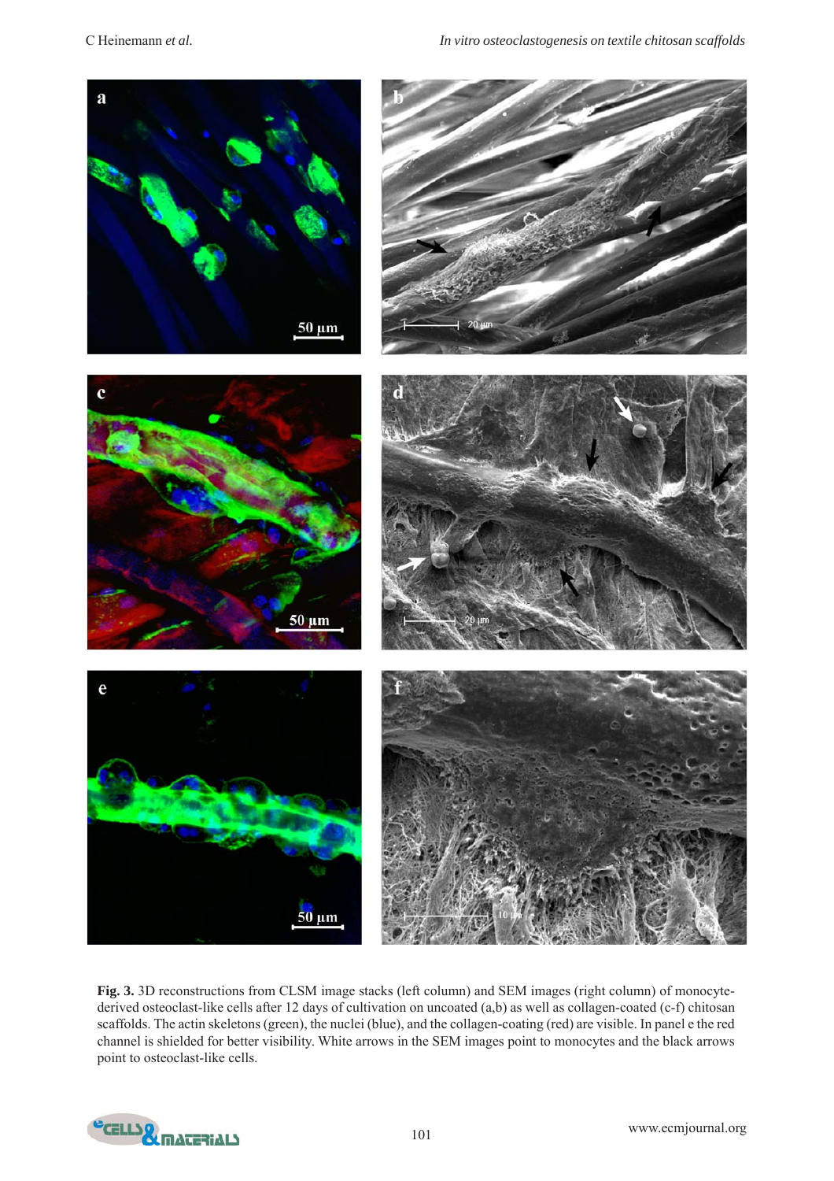

**Fig. 3.** 3D reconstructions from CLSM image stacks (left column) and SEM images (right column) of monocytederived osteoclast-like cells after 12 days of cultivation on uncoated (a,b) as well as collagen-coated (c-f) chitosan scaffolds. The actin skeletons (green), the nuclei (blue), and the collagen-coating (red) are visible. In panel e the red channel is shielded for better visibility. White arrows in the SEM images point to monocytes and the black arrows point to osteoclast-like cells.

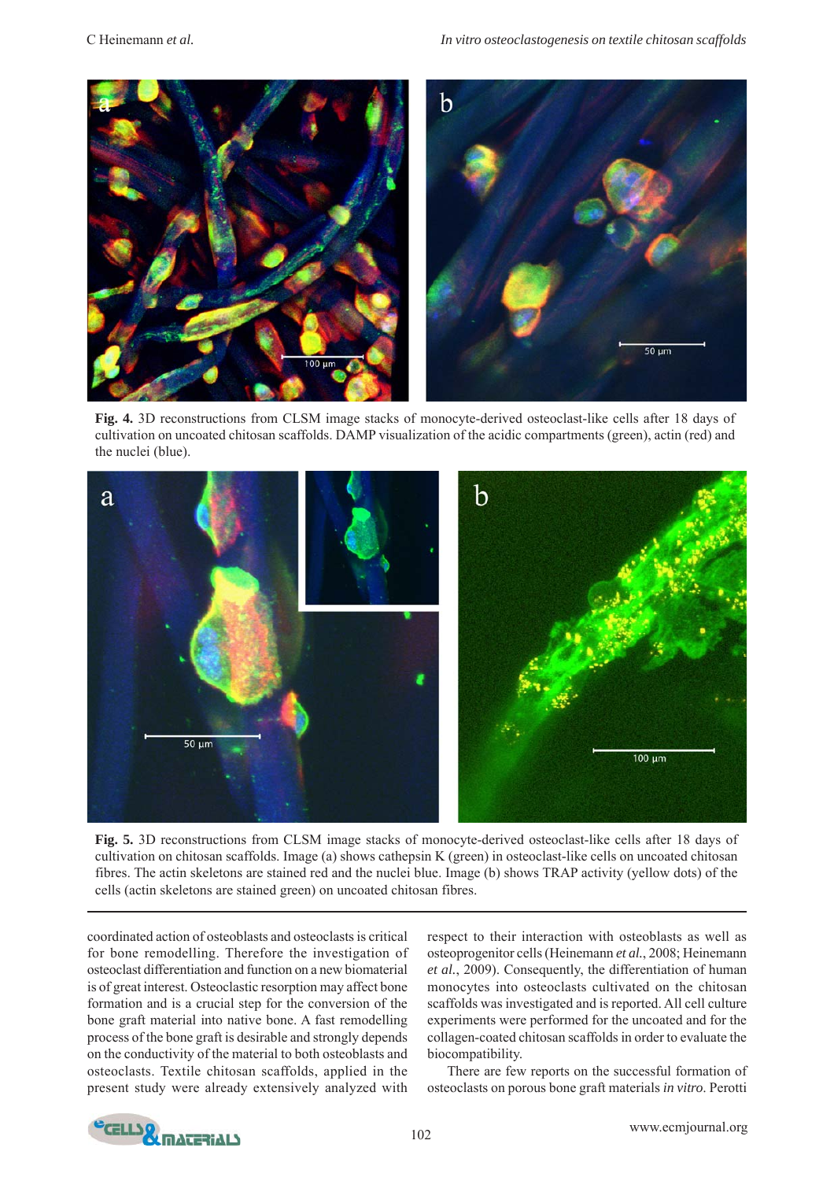

**Fig. 4.** 3D reconstructions from CLSM image stacks of monocyte-derived osteoclast-like cells after 18 days of cultivation on uncoated chitosan scaffolds. DAMP visualization of the acidic compartments (green), actin (red) and the nuclei (blue).



**Fig. 5.** 3D reconstructions from CLSM image stacks of monocyte-derived osteoclast-like cells after 18 days of cultivation on chitosan scaffolds. Image (a) shows cathepsin K (green) in osteoclast-like cells on uncoated chitosan fibres. The actin skeletons are stained red and the nuclei blue. Image (b) shows TRAP activity (yellow dots) of the cells (actin skeletons are stained green) on uncoated chitosan fibres.

coordinated action of osteoblasts and osteoclasts is critical for bone remodelling. Therefore the investigation of osteoclast differentiation and function on a new biomaterial is of great interest. Osteoclastic resorption may affect bone formation and is a crucial step for the conversion of the bone graft material into native bone. A fast remodelling process of the bone graft is desirable and strongly depends on the conductivity of the material to both osteoblasts and osteoclasts. Textile chitosan scaffolds, applied in the present study were already extensively analyzed with

respect to their interaction with osteoblasts as well as osteoprogenitor cells (Heinemann *et al.*, 2008; Heinemann *et al.*, 2009). Consequently, the differentiation of human monocytes into osteoclasts cultivated on the chitosan scaffolds was investigated and is reported. All cell culture experiments were performed for the uncoated and for the collagen-coated chitosan scaffolds in order to evaluate the biocompatibility.

There are few reports on the successful formation of osteoclasts on porous bone graft materials *in vitro*. Perotti

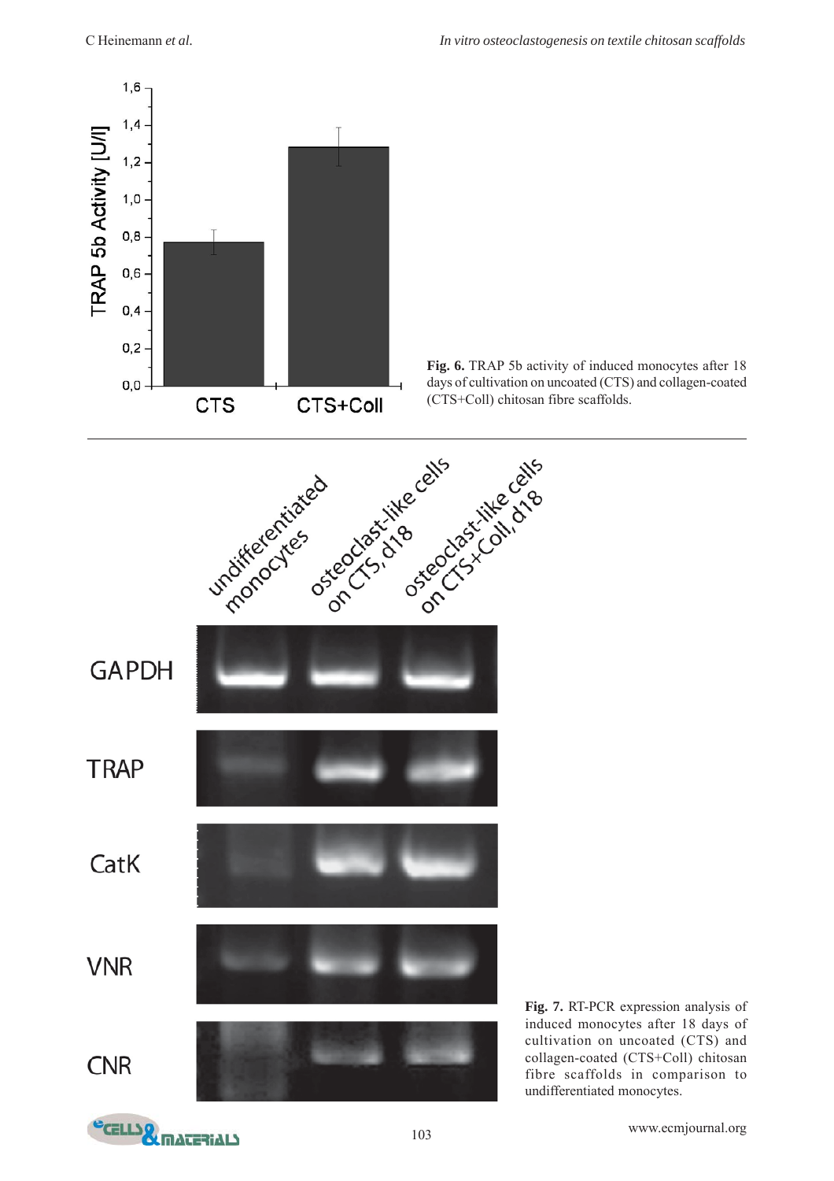





**Fig. 7.** RT-PCR expression analysis of induced monocytes after 18 days of cultivation on uncoated (CTS) and collagen-coated (CTS+Coll) chitosan fibre scaffolds in comparison to undifferentiated monocytes.

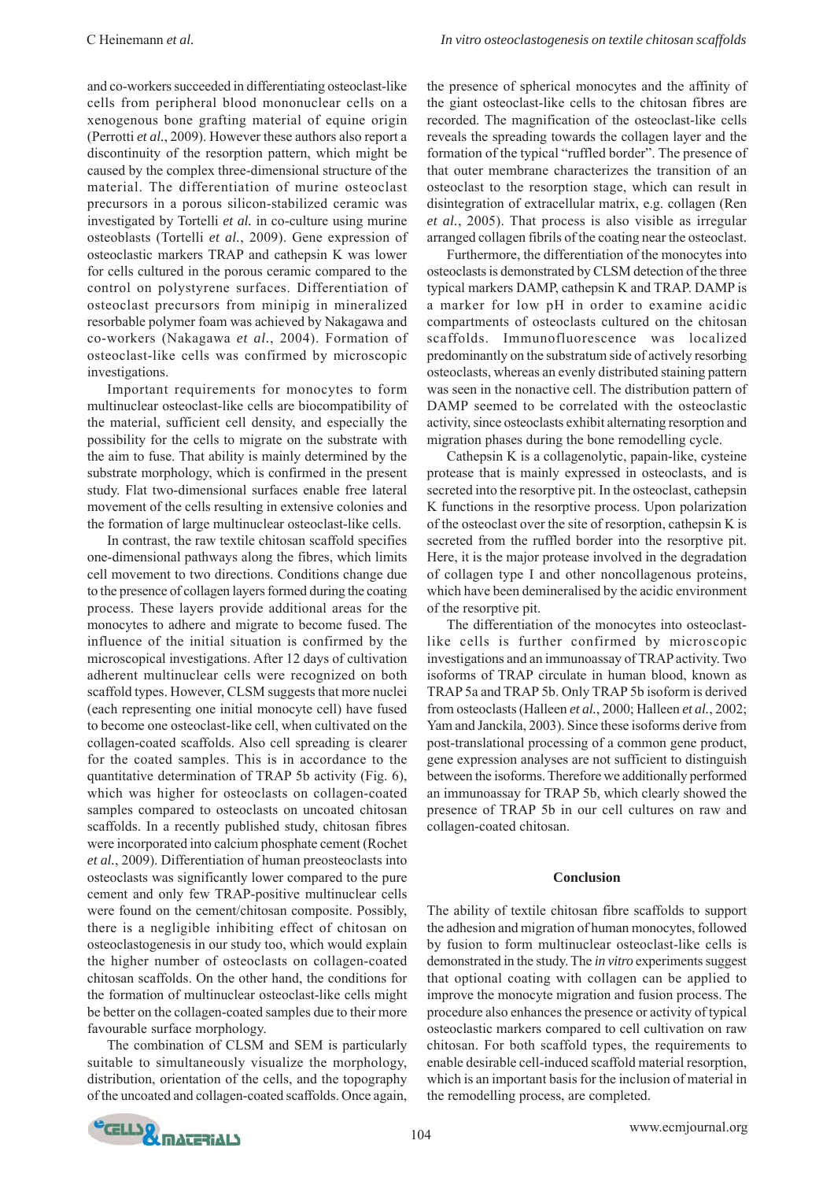and co-workers succeeded in differentiating osteoclast-like cells from peripheral blood mononuclear cells on a xenogenous bone grafting material of equine origin (Perrotti *et al.*, 2009). However these authors also report a discontinuity of the resorption pattern, which might be caused by the complex three-dimensional structure of the material. The differentiation of murine osteoclast precursors in a porous silicon-stabilized ceramic was investigated by Tortelli *et al.* in co-culture using murine osteoblasts (Tortelli *et al.*, 2009). Gene expression of osteoclastic markers TRAP and cathepsin K was lower for cells cultured in the porous ceramic compared to the control on polystyrene surfaces. Differentiation of osteoclast precursors from minipig in mineralized resorbable polymer foam was achieved by Nakagawa and co-workers (Nakagawa *et al.*, 2004). Formation of osteoclast-like cells was confirmed by microscopic investigations.

Important requirements for monocytes to form multinuclear osteoclast-like cells are biocompatibility of the material, sufficient cell density, and especially the possibility for the cells to migrate on the substrate with the aim to fuse. That ability is mainly determined by the substrate morphology, which is confirmed in the present study. Flat two-dimensional surfaces enable free lateral movement of the cells resulting in extensive colonies and the formation of large multinuclear osteoclast-like cells.

In contrast, the raw textile chitosan scaffold specifies one-dimensional pathways along the fibres, which limits cell movement to two directions. Conditions change due to the presence of collagen layers formed during the coating process. These layers provide additional areas for the monocytes to adhere and migrate to become fused. The influence of the initial situation is confirmed by the microscopical investigations. After 12 days of cultivation adherent multinuclear cells were recognized on both scaffold types. However, CLSM suggests that more nuclei (each representing one initial monocyte cell) have fused to become one osteoclast-like cell, when cultivated on the collagen-coated scaffolds. Also cell spreading is clearer for the coated samples. This is in accordance to the quantitative determination of TRAP 5b activity (Fig. 6), which was higher for osteoclasts on collagen-coated samples compared to osteoclasts on uncoated chitosan scaffolds. In a recently published study, chitosan fibres were incorporated into calcium phosphate cement (Rochet *et al.*, 2009). Differentiation of human preosteoclasts into osteoclasts was significantly lower compared to the pure cement and only few TRAP-positive multinuclear cells were found on the cement/chitosan composite. Possibly, there is a negligible inhibiting effect of chitosan on osteoclastogenesis in our study too, which would explain the higher number of osteoclasts on collagen-coated chitosan scaffolds. On the other hand, the conditions for the formation of multinuclear osteoclast-like cells might be better on the collagen-coated samples due to their more favourable surface morphology.

The combination of CLSM and SEM is particularly suitable to simultaneously visualize the morphology, distribution, orientation of the cells, and the topography of the uncoated and collagen-coated scaffolds. Once again,

the presence of spherical monocytes and the affinity of the giant osteoclast-like cells to the chitosan fibres are recorded. The magnification of the osteoclast-like cells reveals the spreading towards the collagen layer and the formation of the typical "ruffled border". The presence of that outer membrane characterizes the transition of an osteoclast to the resorption stage, which can result in disintegration of extracellular matrix, e.g. collagen (Ren *et al.*, 2005). That process is also visible as irregular arranged collagen fibrils of the coating near the osteoclast.

Furthermore, the differentiation of the monocytes into osteoclasts is demonstrated by CLSM detection of the three typical markers DAMP, cathepsin K and TRAP. DAMP is a marker for low pH in order to examine acidic compartments of osteoclasts cultured on the chitosan scaffolds. Immunofluorescence was localized predominantly on the substratum side of actively resorbing osteoclasts, whereas an evenly distributed staining pattern was seen in the nonactive cell. The distribution pattern of DAMP seemed to be correlated with the osteoclastic activity, since osteoclasts exhibit alternating resorption and migration phases during the bone remodelling cycle.

Cathepsin K is a collagenolytic, papain-like, cysteine protease that is mainly expressed in osteoclasts, and is secreted into the resorptive pit. In the osteoclast, cathepsin K functions in the resorptive process. Upon polarization of the osteoclast over the site of resorption, cathepsin K is secreted from the ruffled border into the resorptive pit. Here, it is the major protease involved in the degradation of collagen type I and other noncollagenous proteins, which have been demineralised by the acidic environment of the resorptive pit.

The differentiation of the monocytes into osteoclastlike cells is further confirmed by microscopic investigations and an immunoassay of TRAP activity. Two isoforms of TRAP circulate in human blood, known as TRAP 5a and TRAP 5b. Only TRAP 5b isoform is derived from osteoclasts (Halleen *et al.*, 2000; Halleen *et al.*, 2002; Yam and Janckila, 2003). Since these isoforms derive from post-translational processing of a common gene product, gene expression analyses are not sufficient to distinguish between the isoforms. Therefore we additionally performed an immunoassay for TRAP 5b, which clearly showed the presence of TRAP 5b in our cell cultures on raw and collagen-coated chitosan.

#### **Conclusion**

The ability of textile chitosan fibre scaffolds to support the adhesion and migration of human monocytes, followed by fusion to form multinuclear osteoclast-like cells is demonstrated in the study. The *in vitro* experiments suggest that optional coating with collagen can be applied to improve the monocyte migration and fusion process. The procedure also enhances the presence or activity of typical osteoclastic markers compared to cell cultivation on raw chitosan. For both scaffold types, the requirements to enable desirable cell-induced scaffold material resorption, which is an important basis for the inclusion of material in the remodelling process, are completed.

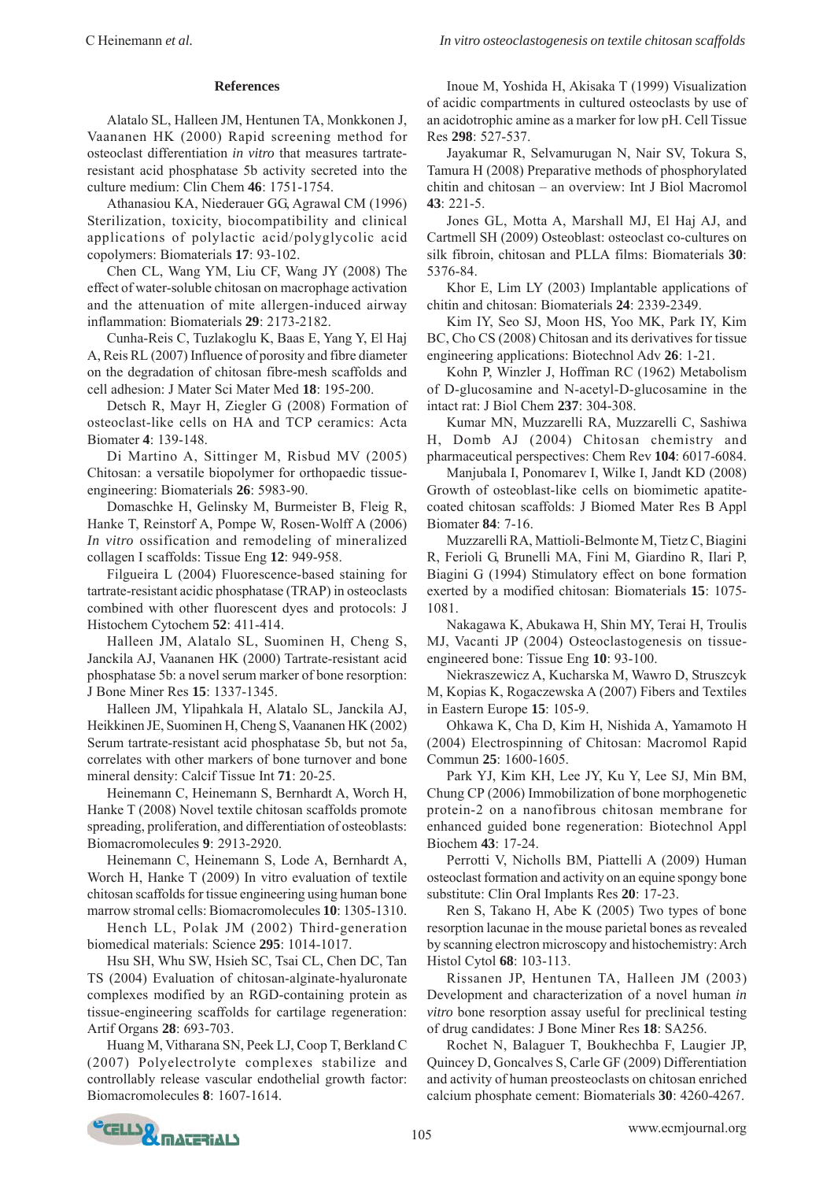### **References**

Alatalo SL, Halleen JM, Hentunen TA, Monkkonen J, Vaananen HK (2000) Rapid screening method for osteoclast differentiation *in vitro* that measures tartrateresistant acid phosphatase 5b activity secreted into the culture medium: Clin Chem **46**: 1751-1754.

Athanasiou KA, Niederauer GG, Agrawal CM (1996) Sterilization, toxicity, biocompatibility and clinical applications of polylactic acid/polyglycolic acid copolymers: Biomaterials **17**: 93-102.

Chen CL, Wang YM, Liu CF, Wang JY (2008) The effect of water-soluble chitosan on macrophage activation and the attenuation of mite allergen-induced airway inflammation: Biomaterials **29**: 2173-2182.

Cunha-Reis C, Tuzlakoglu K, Baas E, Yang Y, El Haj A, Reis RL (2007) Influence of porosity and fibre diameter on the degradation of chitosan fibre-mesh scaffolds and cell adhesion: J Mater Sci Mater Med **18**: 195-200.

Detsch R, Mayr H, Ziegler G (2008) Formation of osteoclast-like cells on HA and TCP ceramics: Acta Biomater **4**: 139-148.

Di Martino A, Sittinger M, Risbud MV (2005) Chitosan: a versatile biopolymer for orthopaedic tissueengineering: Biomaterials **26**: 5983-90.

Domaschke H, Gelinsky M, Burmeister B, Fleig R, Hanke T, Reinstorf A, Pompe W, Rosen-Wolff A (2006) *In vitro* ossification and remodeling of mineralized collagen I scaffolds: Tissue Eng **12**: 949-958.

Filgueira L (2004) Fluorescence-based staining for tartrate-resistant acidic phosphatase (TRAP) in osteoclasts combined with other fluorescent dyes and protocols: J Histochem Cytochem **52**: 411-414.

Halleen JM, Alatalo SL, Suominen H, Cheng S, Janckila AJ, Vaananen HK (2000) Tartrate-resistant acid phosphatase 5b: a novel serum marker of bone resorption: J Bone Miner Res **15**: 1337-1345.

Halleen JM, Ylipahkala H, Alatalo SL, Janckila AJ, Heikkinen JE, Suominen H, Cheng S, Vaananen HK (2002) Serum tartrate-resistant acid phosphatase 5b, but not 5a, correlates with other markers of bone turnover and bone mineral density: Calcif Tissue Int **71**: 20-25.

Heinemann C, Heinemann S, Bernhardt A, Worch H, Hanke T (2008) Novel textile chitosan scaffolds promote spreading, proliferation, and differentiation of osteoblasts: Biomacromolecules **9**: 2913-2920.

Heinemann C, Heinemann S, Lode A, Bernhardt A, Worch H, Hanke T (2009) In vitro evaluation of textile chitosan scaffolds for tissue engineering using human bone marrow stromal cells: Biomacromolecules **10**: 1305-1310.

Hench LL, Polak JM (2002) Third-generation biomedical materials: Science **295**: 1014-1017.

Hsu SH, Whu SW, Hsieh SC, Tsai CL, Chen DC, Tan TS (2004) Evaluation of chitosan-alginate-hyaluronate complexes modified by an RGD-containing protein as tissue-engineering scaffolds for cartilage regeneration: Artif Organs **28**: 693-703.

Huang M, Vitharana SN, Peek LJ, Coop T, Berkland C (2007) Polyelectrolyte complexes stabilize and controllably release vascular endothelial growth factor: Biomacromolecules **8**: 1607-1614.

Inoue M, Yoshida H, Akisaka T (1999) Visualization of acidic compartments in cultured osteoclasts by use of an acidotrophic amine as a marker for low pH. Cell Tissue Res **298**: 527-537.

Jayakumar R, Selvamurugan N, Nair SV, Tokura S, Tamura H (2008) Preparative methods of phosphorylated chitin and chitosan – an overview: Int J Biol Macromol **43**: 221-5.

Jones GL, Motta A, Marshall MJ, El Haj AJ, and Cartmell SH (2009) Osteoblast: osteoclast co-cultures on silk fibroin, chitosan and PLLA films: Biomaterials **30**: 5376-84.

Khor E, Lim LY (2003) Implantable applications of chitin and chitosan: Biomaterials **24**: 2339-2349.

Kim IY, Seo SJ, Moon HS, Yoo MK, Park IY, Kim BC, Cho CS (2008) Chitosan and its derivatives for tissue engineering applications: Biotechnol Adv **26**: 1-21.

Kohn P, Winzler J, Hoffman RC (1962) Metabolism of D-glucosamine and N-acetyl-D-glucosamine in the intact rat: J Biol Chem **237**: 304-308.

Kumar MN, Muzzarelli RA, Muzzarelli C, Sashiwa H, Domb AJ (2004) Chitosan chemistry and pharmaceutical perspectives: Chem Rev **104**: 6017-6084.

Manjubala I, Ponomarev I, Wilke I, Jandt KD (2008) Growth of osteoblast-like cells on biomimetic apatitecoated chitosan scaffolds: J Biomed Mater Res B Appl Biomater **84**: 7-16.

Muzzarelli RA, Mattioli-Belmonte M, Tietz C, Biagini R, Ferioli G, Brunelli MA, Fini M, Giardino R, Ilari P, Biagini G (1994) Stimulatory effect on bone formation exerted by a modified chitosan: Biomaterials **15**: 1075- 1081.

Nakagawa K, Abukawa H, Shin MY, Terai H, Troulis MJ, Vacanti JP (2004) Osteoclastogenesis on tissueengineered bone: Tissue Eng **10**: 93-100.

Niekraszewicz A, Kucharska M, Wawro D, Struszcyk M, Kopias K, Rogaczewska A (2007) Fibers and Textiles in Eastern Europe **15**: 105-9.

Ohkawa K, Cha D, Kim H, Nishida A, Yamamoto H (2004) Electrospinning of Chitosan: Macromol Rapid Commun **25**: 1600-1605.

Park YJ, Kim KH, Lee JY, Ku Y, Lee SJ, Min BM, Chung CP (2006) Immobilization of bone morphogenetic protein-2 on a nanofibrous chitosan membrane for enhanced guided bone regeneration: Biotechnol Appl Biochem **43**: 17-24.

Perrotti V, Nicholls BM, Piattelli A (2009) Human osteoclast formation and activity on an equine spongy bone substitute: Clin Oral Implants Res **20**: 17-23.

Ren S, Takano H, Abe K (2005) Two types of bone resorption lacunae in the mouse parietal bones as revealed by scanning electron microscopy and histochemistry: Arch Histol Cytol **68**: 103-113.

Rissanen JP, Hentunen TA, Halleen JM (2003) Development and characterization of a novel human *in vitro* bone resorption assay useful for preclinical testing of drug candidates: J Bone Miner Res **18**: SA256.

Rochet N, Balaguer T, Boukhechba F, Laugier JP, Quincey D, Goncalves S, Carle GF (2009) Differentiation and activity of human preosteoclasts on chitosan enriched calcium phosphate cement: Biomaterials **30**: 4260-4267.